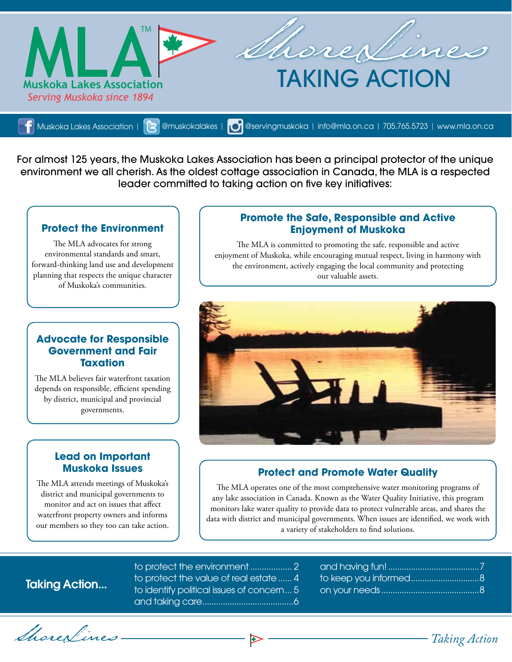

[Muskoka Lakes Association](https://www.facebook.com/muskokalakesassociation) | **| 2 [@muskokalakes](https://twitter.com/intent/follow?screen_name=MuskokaLakes) | | 0 [@servingmuskoka](https://instagram.com/muskokalakesassn/?ref=badge) | [info@mla.on.ca](mailto:info@mla.on.ca) | 705.765.5723 | <www.mla.on.ca>** 

For almost 125 years, the Muskoka Lakes Association has been a principal protector of the unique environment we all cherish. As the oldest cottage association in Canada, the MLA is a respected leader committed to taking action on five key initiatives:

## **Protect the Environment**

The MLA advocates for strong environmental standards and smart, forward-thinking land use and development planning that respects the unique character of Muskoka's communities.

## **Advocate for Responsible Government and Fair Taxation**

The MLA believes fair waterfront taxation depends on responsible, efficient spending by district, municipal and provincial governments.

### **Lead on Important Muskoka Issues**

The MLA attends meetings of Muskoka's district and municipal governments to monitor and act on issues that affect waterfront property owners and informs our members so they too can take action.

### **Promote the Safe, Responsible and Active Enjoyment of Muskoka**

The MLA is committed to promoting the safe, responsible and active enjoyment of Muskoka, while encouraging mutual respect, living in harmony with the environment, actively engaging the local community and protecting our valuable assets.



## **Protect and Promote Water Quality**

The MLA operates one of the most comprehensive water monitoring programs of any lake association in Canada. Known as the Water Quality Initiative, this program monitors lake water quality to provide data to protect vulnerable areas, and shares the data with district and municipal governments. When issues are identified, we work with a variety of stakeholders to find solutions.

# Taking Action...

to protect the environment.................. 2 to protect the value of real estate...... 4 to identify political issues of concern... 5 and taking care........................................6

| to keep you informed8 |  |
|-----------------------|--|
|                       |  |

ShoreLines *Taking Action*

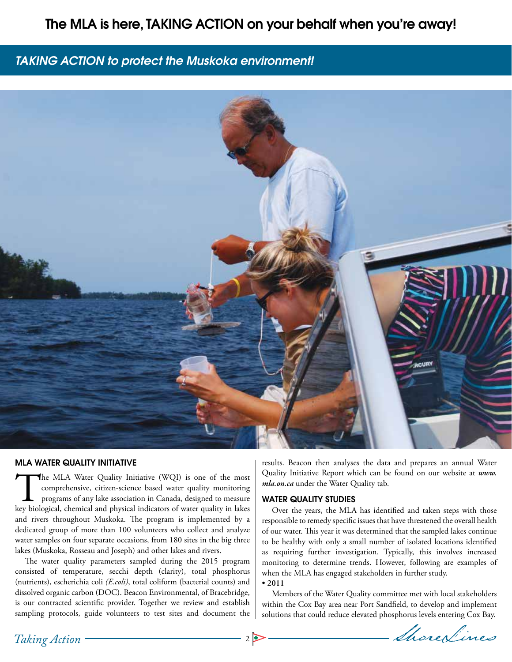## The MLA is here, TAKING ACTION on your behalf when you're away!

## *TAKING ACTION to protect the Muskoka environment!*



#### MLA WATER QUALITY INITIATIVE

The MLA Water Quality Initiative (WQI) is one of the most comprehensive, citizen-science based water quality monitoring programs of any lake association in Canada, designed to measure key biological, chemical and physical indicators of water quality in lakes and rivers throughout Muskoka. The program is implemented by a dedicated group of more than 100 volunteers who collect and analyze water samples on four separate occasions, from 180 sites in the big three lakes (Muskoka, Rosseau and Joseph) and other lakes and rivers.

The water quality parameters sampled during the 2015 program consisted of temperature, secchi depth (clarity), total phosphorus (nutrients), escherichia coli *(E.coli)*, total coliform (bacterial counts) and dissolved organic carbon (DOC). Beacon Environmental, of Bracebridge, is our contracted scientific provider. Together we review and establish sampling protocols, guide volunteers to test sites and document the results. Beacon then analyses the data and prepares an annual Water Quality Initiative Report which can be found on our website at *www. mla.on.ca* under the Water Quality tab.

### WATER QUALITY STUDIES

Over the years, the MLA has identified and taken steps with those responsible to remedy specific issues that have threatened the overall health of our water. This year it was determined that the sampled lakes continue to be healthy with only a small number of isolated locations identified as requiring further investigation. Typically, this involves increased monitoring to determine trends. However, following are examples of when the MLA has engaged stakeholders in further study.

#### **• 2011**

Members of the Water Quality committee met with local stakeholders within the Cox Bay area near Port Sandfield, to develop and implement solutions that could reduce elevated phosphorus levels entering Cox Bay.

2 De Ahores Lines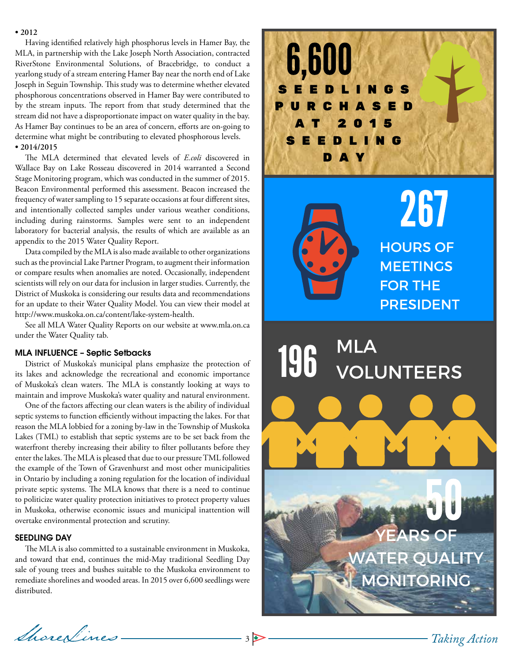### **• 2012**

Having identified relatively high phosphorus levels in Hamer Bay, the MLA, in partnership with the Lake Joseph North Association, contracted RiverStone Environmental Solutions, of Bracebridge, to conduct a yearlong study of a stream entering Hamer Bay near the north end of Lake Joseph in Seguin Township. This study was to determine whether elevated phosphorous concentrations observed in Hamer Bay were contributed to by the stream inputs. The report from that study determined that the stream did not have a disproportionate impact on water quality in the bay. As Hamer Bay continues to be an area of concern, efforts are on-going to determine what might be contributing to elevated phosphorous levels. **• 2014/2015** 

The MLA determined that elevated levels of *E.coli* discovered in Wallace Bay on Lake Rosseau discovered in 2014 warranted a Second Stage Monitoring program, which was conducted in the summer of 2015. Beacon Environmental performed this assessment. Beacon increased the frequency of water sampling to 15 separate occasions at four different sites, and intentionally collected samples under various weather conditions, including during rainstorms. Samples were sent to an independent laboratory for bacterial analysis, the results of which are available as an appendix to the 2015 Water Quality Report.

Data compiled by the MLA is also made available to other organizations such as the provincial Lake Partner Program, to augment their information or compare results when anomalies are noted. Occasionally, independent scientists will rely on our data for inclusion in larger studies. Currently, the District of Muskoka is considering our results data and recommendations for an update to their Water Quality Model. You can view their model at http://www.muskoka.on.ca/content/lake-system-health.

See all MLA Water Quality Reports on our website at www.mla.on.ca under the Water Quality tab.

#### MLA INFLUENCE – Septic Setbacks

District of Muskoka's municipal plans emphasize the protection of its lakes and acknowledge the recreational and economic importance of Muskoka's clean waters. The MLA is constantly looking at ways to maintain and improve Muskoka's water quality and natural environment.

One of the factors affecting our clean waters is the ability of individual septic systems to function efficiently without impacting the lakes. For that reason the MLA lobbied for a zoning by-law in the Township of Muskoka Lakes (TML) to establish that septic systems are to be set back from the waterfront thereby increasing their ability to filter pollutants before they enter the lakes. The MLA is pleased that due to our pressure TML followed the example of the Town of Gravenhurst and most other municipalities in Ontario by including a zoning regulation for the location of individual private septic systems. The MLA knows that there is a need to continue to politicize water quality protection initiatives to protect property values in Muskoka, otherwise economic issues and municipal inattention will overtake environmental protection and scrutiny.

### SEEDLING DAY

The MLA is also committed to a sustainable environment in Muskoka, and toward that end, continues the mid-May traditional Seedling Day sale of young trees and bushes suitable to the Muskoka environment to remediate shorelines and wooded areas. In 2015 over 6,600 seedlings were distributed.

Shore<u>Lines</u> 35



267 **HOURS OF MEETINGS FOR THE PRESIDENT** 

# **MLA** 196 **VOLUNTEERS**

**EARS OF WATER QUALITY MONITORING**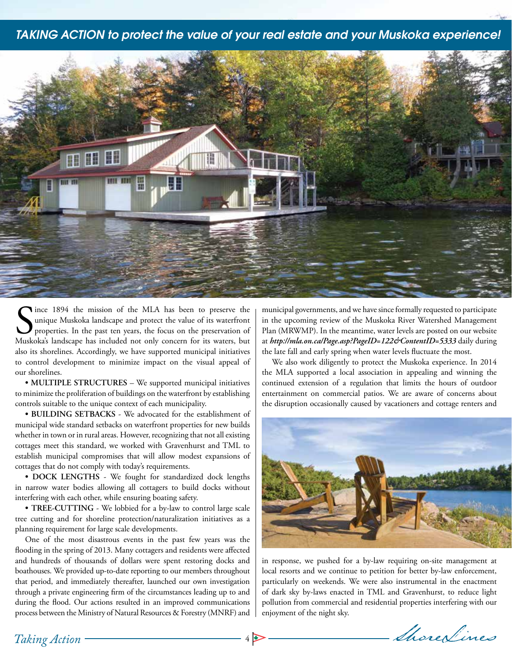### *TAKING ACTION to protect the value of your real estate and your Muskoka experience!*



Since 1894 the mission of the MLA has been to preserve the unique Muskoka landscape and protect the value of its waterfront properties. In the past ten years, the focus on the preservation of Muskoka's landscape has includ lince 1894 the mission of the MLA has been to preserve the unique Muskoka landscape and protect the value of its waterfront properties. In the past ten years, the focus on the preservation of also its shorelines. Accordingly, we have supported municipal initiatives to control development to minimize impact on the visual appeal of our shorelines.

**• MULTIPLE STRUCTURES** – We supported municipal initiatives to minimize the proliferation of buildings on the waterfront by establishing controls suitable to the unique context of each municipality.

**• BUILDING SETBACKS** - We advocated for the establishment of municipal wide standard setbacks on waterfront properties for new builds whether in town or in rural areas. However, recognizing that not all existing cottages meet this standard, we worked with Gravenhurst and TML to establish municipal compromises that will allow modest expansions of cottages that do not comply with today's requirements.

**• DOCK LENGTHS** - We fought for standardized dock lengths in narrow water bodies allowing all cottagers to build docks without interfering with each other, while ensuring boating safety.

**• TREE-CUTTING** - We lobbied for a by-law to control large scale tree cutting and for shoreline protection/naturalization initiatives as a planning requirement for large scale developments.

One of the most disastrous events in the past few years was the flooding in the spring of 2013. Many cottagers and residents were affected and hundreds of thousands of dollars were spent restoring docks and boathouses. We provided up-to-date reporting to our members throughout that period, and immediately thereafter, launched our own investigation through a private engineering firm of the circumstances leading up to and during the flood. Our actions resulted in an improved communications process between the Ministry of Natural Resources & Forestry (MNRF) and municipal governments, and we have since formally requested to participate in the upcoming review of the Muskoka River Watershed Management Plan (MRWMP). In the meantime, water levels are posted on our website at *http://mla.on.ca/Page.asp?PageID=122&ContentID=5333* daily during the late fall and early spring when water levels fluctuate the most.

We also work diligently to protect the Muskoka experience. In 2014 the MLA supported a local association in appealing and winning the continued extension of a regulation that limits the hours of outdoor entertainment on commercial patios. We are aware of concerns about the disruption occasionally caused by vacationers and cottage renters and



in response, we pushed for a by-law requiring on-site management at local resorts and we continue to petition for better by-law enforcement, particularly on weekends. We were also instrumental in the enactment of dark sky by-laws enacted in TML and Gravenhurst, to reduce light pollution from commercial and residential properties interfering with our enjoyment of the night sky.

4 ShoreNines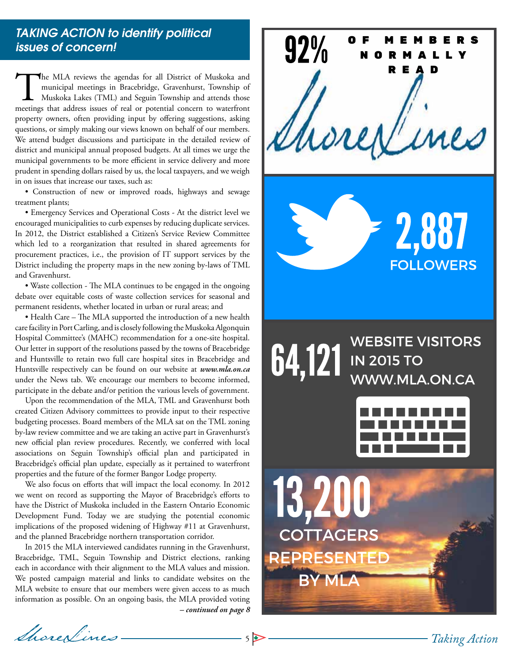## *TAKING ACTION to identify political issues of concern!*

The MLA reviews the agendas for all District of Muskoka and municipal meetings in Bracebridge, Gravenhurst, Township of Muskoka Lakes (TML) and Seguin Township and attends those meetings that address issues of real or pote municipal meetings in Bracebridge, Gravenhurst, Township of Muskoka Lakes (TML) and Seguin Township and attends those meetings that address issues of real or potential concern to waterfront property owners, often providing input by offering suggestions, asking questions, or simply making our views known on behalf of our members. We attend budget discussions and participate in the detailed review of district and municipal annual proposed budgets. At all times we urge the municipal governments to be more efficient in service delivery and more prudent in spending dollars raised by us, the local taxpayers, and we weigh in on issues that increase our taxes, such as:

• Construction of new or improved roads, highways and sewage treatment plants;

• Emergency Services and Operational Costs - At the district level we encouraged municipalities to curb expenses by reducing duplicate services. In 2012, the District established a Citizen's Service Review Committee which led to a reorganization that resulted in shared agreements for procurement practices, i.e., the provision of IT support services by the District including the property maps in the new zoning by-laws of TML and Gravenhurst.

• Waste collection - The MLA continues to be engaged in the ongoing debate over equitable costs of waste collection services for seasonal and permanent residents, whether located in urban or rural areas; and

• Health Care – The MLA supported the introduction of a new health care facility in Port Carling, and is closely following the Muskoka Algonquin Hospital Committee's (MAHC) recommendation for a one-site hospital. Our letter in support of the resolutions passed by the towns of Bracebridge and Huntsville to retain two full care hospital sites in Bracebridge and Huntsville respectively can be found on our website at *www.mla.on.ca* under the News tab. We encourage our members to become informed, participate in the debate and/or petition the various levels of government.

Upon the recommendation of the MLA, TML and Gravenhurst both created Citizen Advisory committees to provide input to their respective budgeting processes. Board members of the MLA sat on the TML zoning by-law review committee and we are taking an active part in Gravenhurst's new official plan review procedures. Recently, we conferred with local associations on Seguin Township's official plan and participated in Bracebridge's official plan update, especially as it pertained to waterfront properties and the future of the former Bangor Lodge property.

We also focus on efforts that will impact the local economy. In 2012 we went on record as supporting the Mayor of Bracebridge's efforts to have the District of Muskoka included in the Eastern Ontario Economic Development Fund. Today we are studying the potential economic implications of the proposed widening of Highway #11 at Gravenhurst, and the planned Bracebridge northern transportation corridor.

In 2015 the MLA interviewed candidates running in the Gravenhurst, Bracebridge, TML, Seguin Township and District elections, ranking each in accordance with their alignment to the MLA values and mission. We posted campaign material and links to candidate websites on the MLA website to ensure that our members were given access to as much information as possible. On an ongoing basis, the MLA provided voting *– continued on page 8*

ShoreLines

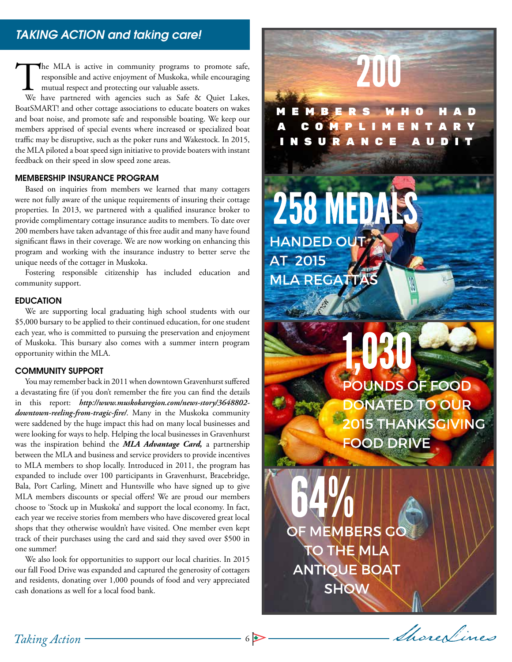The MLA is active in community programs to promote safe, responsible and active enjoyment of Muskoka, while encouraging mutual respect and protecting our valuable assets.<br>We have partnered with agencies such as Safe & Quie responsible and active enjoyment of Muskoka, while encouraging mutual respect and protecting our valuable assets.

BoatSMART! and other cottage associations to educate boaters on wakes and boat noise, and promote safe and responsible boating. We keep our members apprised of special events where increased or specialized boat traffic may be disruptive, such as the poker runs and Wakestock. In 2015, the MLA piloted a boat speed sign initiative to provide boaters with instant feedback on their speed in slow speed zone areas.

### MEMBERSHIP INSURANCE PROGRAM

Based on inquiries from members we learned that many cottagers were not fully aware of the unique requirements of insuring their cottage properties. In 2013, we partnered with a qualified insurance broker to provide complimentary cottage insurance audits to members. To date over 200 members have taken advantage of this free audit and many have found significant flaws in their coverage. We are now working on enhancing this program and working with the insurance industry to better serve the unique needs of the cottager in Muskoka.

Fostering responsible citizenship has included education and community support.

#### EDUCATION

We are supporting local graduating high school students with our \$5,000 bursary to be applied to their continued education, for one student each year, who is committed to pursuing the preservation and enjoyment of Muskoka. This bursary also comes with a summer intern program opportunity within the MLA.

### COMMUNITY SUPPORT

You may remember back in 2011 when downtown Gravenhurst suffered a devastating fire (if you don't remember the fire you can find the details in this report: *http://www.muskokaregion.com/news-story/3648802 downtown-reeling-from-tragic-fire/*. Many in the Muskoka community were saddened by the huge impact this had on many local businesses and were looking for ways to help. Helping the local businesses in Gravenhurst was the inspiration behind the *MLA Advantage Card,* a partnership between the MLA and business and service providers to provide incentives to MLA members to shop locally. Introduced in 2011, the program has expanded to include over 100 participants in Gravenhurst, Bracebridge, Bala, Port Carling, Minett and Huntsville who have signed up to give MLA members discounts or special offers! We are proud our members choose to 'Stock up in Muskoka' and support the local economy. In fact, each year we receive stories from members who have discovered great local shops that they otherwise wouldn't have visited. One member even kept track of their purchases using the card and said they saved over \$500 in one summer!

We also look for opportunities to support our local charities. In 2015 our fall Food Drive was expanded and captured the generosity of cottagers and residents, donating over 1,000 pounds of food and very appreciated cash donations as well for a local food bank.

258 MEDALS HANDED OUT **AT 2015 MLA REGATTA POUNDS OF FOOD DONATED TO OUR 2015 THANKSGIVING** 

**FOOD DRIVE** 

OF MEMBERS GO **THE MLA ANTIQUE BOAT SHOW** 

M E M B E R S

C O M P L I M

N S U R A N C E A U D

200

6 ShoreNines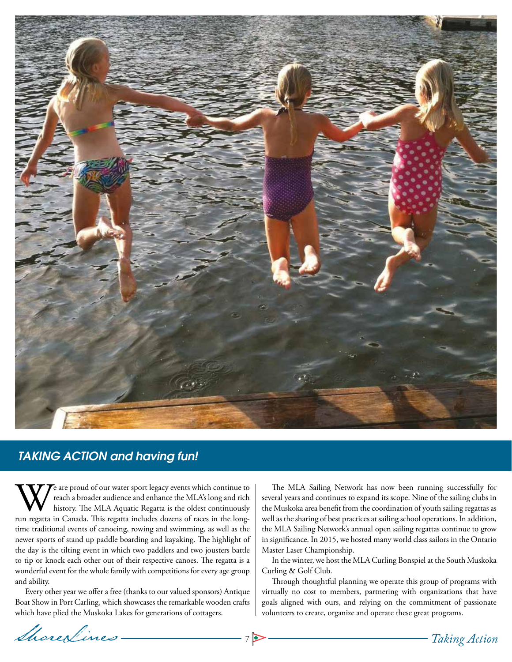

# *TAKING ACTION and having fun!*

We are proud of our water sport legacy events which continue to reach a broader audience and enhance the MLA's long and rich history. The MLA Aquatic Regatta is the oldest continuously run regatta in Canada. This regatta i reach a broader audience and enhance the MLA's long and rich history. The MLA Aquatic Regatta is the oldest continuously time traditional events of canoeing, rowing and swimming, as well as the newer sports of stand up paddle boarding and kayaking. The highlight of the day is the tilting event in which two paddlers and two jousters battle to tip or knock each other out of their respective canoes. The regatta is a wonderful event for the whole family with competitions for every age group and ability.

Every other year we offer a free (thanks to our valued sponsors) Antique Boat Show in Port Carling, which showcases the remarkable wooden crafts which have plied the Muskoka Lakes for generations of cottagers.

The MLA Sailing Network has now been running successfully for several years and continues to expand its scope. Nine of the sailing clubs in the Muskoka area benefit from the coordination of youth sailing regattas as well as the sharing of best practices at sailing school operations. In addition, the MLA Sailing Network's annual open sailing regattas continue to grow in significance. In 2015, we hosted many world class sailors in the Ontario Master Laser Championship.

In the winter, we host the MLA Curling Bonspiel at the South Muskoka Curling & Golf Club.

Through thoughtful planning we operate this group of programs with virtually no cost to members, partnering with organizations that have goals aligned with ours, and relying on the commitment of passionate volunteers to create, organize and operate these great programs.

Shore<u>Lines</u> 7